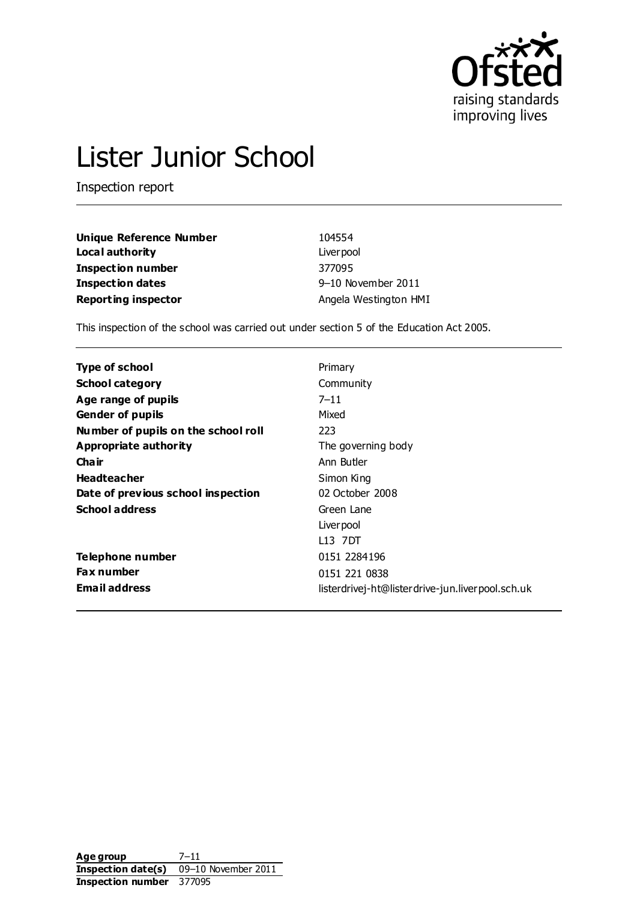

# Lister Junior School

Inspection report

| Unique Reference Number    | 104554                |
|----------------------------|-----------------------|
| Local authority            | Liver pool            |
| Inspection number          | 377095                |
| Inspection dates           | 9-10 November 2011    |
| <b>Reporting inspector</b> | Angela Westington HMI |

This inspection of the school was carried out under section 5 of the Education Act 2005.

| <b>Type of school</b>               | Primary                                          |
|-------------------------------------|--------------------------------------------------|
| <b>School category</b>              | Community                                        |
| Age range of pupils                 | $7 - 11$                                         |
| <b>Gender of pupils</b>             | Mixed                                            |
| Number of pupils on the school roll | 223                                              |
| Appropriate authority               | The governing body                               |
| Cha ir                              | Ann Butler                                       |
| <b>Headteacher</b>                  | Simon King                                       |
| Date of previous school inspection  | 02 October 2008                                  |
| <b>School address</b>               | Green Lane                                       |
|                                     | Liver pool                                       |
|                                     | L13 7DT                                          |
| Telephone number                    | 0151 2284196                                     |
| <b>Fax number</b>                   | 0151 221 0838                                    |
| <b>Email address</b>                | listerdrivej-ht@listerdrive-jun.liverpool.sch.uk |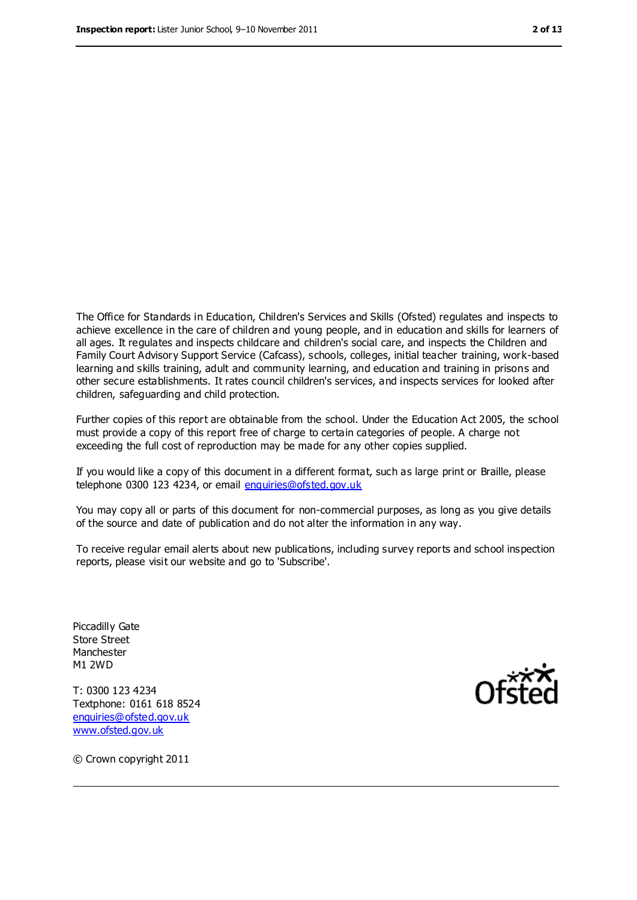The Office for Standards in Education, Children's Services and Skills (Ofsted) regulates and inspects to achieve excellence in the care of children and young people, and in education and skills for learners of all ages. It regulates and inspects childcare and children's social care, and inspects the Children and Family Court Advisory Support Service (Cafcass), schools, colleges, initial teacher training, work-based learning and skills training, adult and community learning, and education and training in prisons and other secure establishments. It rates council children's services, and inspects services for looked after children, safeguarding and child protection.

Further copies of this report are obtainable from the school. Under the Education Act 2005, the school must provide a copy of this report free of charge to certain categories of people. A charge not exceeding the full cost of reproduction may be made for any other copies supplied.

If you would like a copy of this document in a different format, such as large print or Braille, please telephone 0300 123 4234, or email [enquiries@ofsted.gov.uk](mailto:enquiries@ofsted.gov.uk)

You may copy all or parts of this document for non-commercial purposes, as long as you give details of the source and date of publication and do not alter the information in any way.

To receive regular email alerts about new publications, including survey reports and school inspection reports, please visit our website and go to 'Subscribe'.

Piccadilly Gate Store Street Manchester M1 2WD

T: 0300 123 4234 Textphone: 0161 618 8524 [enquiries@ofsted.gov.uk](mailto:enquiries@ofsted.gov.uk) [www.ofsted.gov.uk](http://www.ofsted.gov.uk/)



© Crown copyright 2011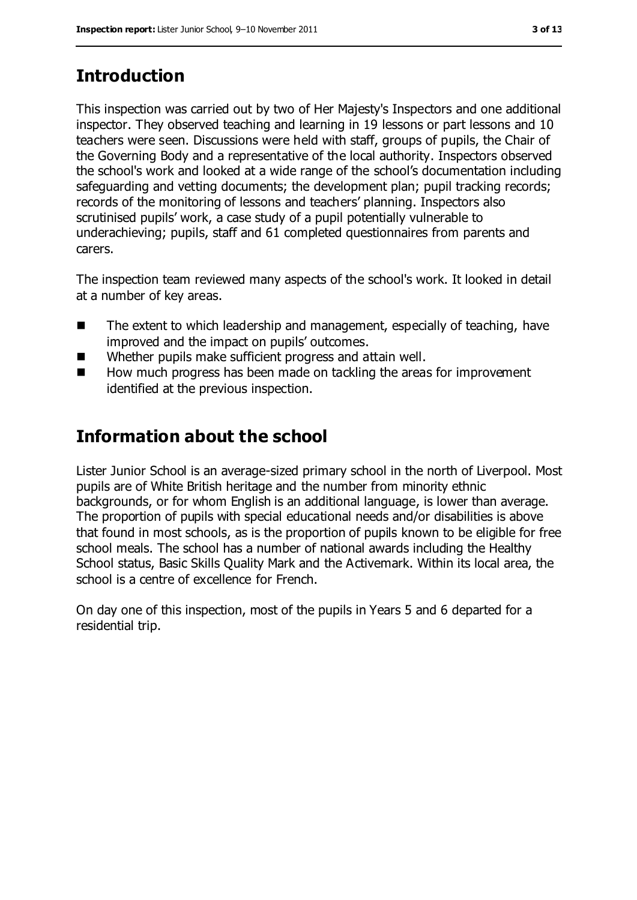## **Introduction**

This inspection was carried out by two of Her Majesty's Inspectors and one additional inspector. They observed teaching and learning in 19 lessons or part lessons and 10 teachers were seen. Discussions were held with staff, groups of pupils, the Chair of the Governing Body and a representative of the local authority. Inspectors observed the school's work and looked at a wide range of the school's documentation including safeguarding and vetting documents; the development plan; pupil tracking records; records of the monitoring of lessons and teachers' planning. Inspectors also scrutinised pupils' work, a case study of a pupil potentially vulnerable to underachieving; pupils, staff and 61 completed questionnaires from parents and carers.

The inspection team reviewed many aspects of the school's work. It looked in detail at a number of key areas.

- The extent to which leadership and management, especially of teaching, have improved and the impact on pupils' outcomes.
- Whether pupils make sufficient progress and attain well.
- $\blacksquare$  How much progress has been made on tackling the areas for improvement identified at the previous inspection.

## **Information about the school**

Lister Junior School is an average-sized primary school in the north of Liverpool. Most pupils are of White British heritage and the number from minority ethnic backgrounds, or for whom English is an additional language, is lower than average. The proportion of pupils with special educational needs and/or disabilities is above that found in most schools, as is the proportion of pupils known to be eligible for free school meals. The school has a number of national awards including the Healthy School status, Basic Skills Quality Mark and the Activemark. Within its local area, the school is a centre of excellence for French.

On day one of this inspection, most of the pupils in Years 5 and 6 departed for a residential trip.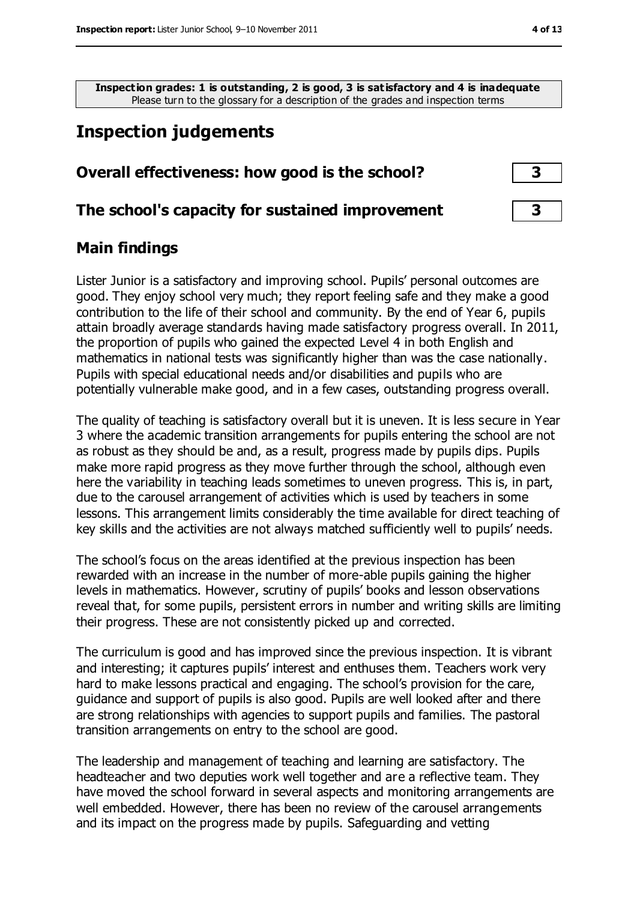**Inspection grades: 1 is outstanding, 2 is good, 3 is satisfactory and 4 is inadequate** Please turn to the glossary for a description of the grades and inspection terms

## **Inspection judgements**

| Overall effectiveness: how good is the school? |  |
|------------------------------------------------|--|
|                                                |  |

#### **The school's capacity for sustained improvement 3**

#### **Main findings**

Lister Junior is a satisfactory and improving school. Pupils' personal outcomes are good. They enjoy school very much; they report feeling safe and they make a good contribution to the life of their school and community. By the end of Year 6, pupils attain broadly average standards having made satisfactory progress overall. In 2011, the proportion of pupils who gained the expected Level 4 in both English and mathematics in national tests was significantly higher than was the case nationally. Pupils with special educational needs and/or disabilities and pupils who are potentially vulnerable make good, and in a few cases, outstanding progress overall.

The quality of teaching is satisfactory overall but it is uneven. It is less secure in Year 3 where the academic transition arrangements for pupils entering the school are not as robust as they should be and, as a result, progress made by pupils dips. Pupils make more rapid progress as they move further through the school, although even here the variability in teaching leads sometimes to uneven progress. This is, in part, due to the carousel arrangement of activities which is used by teachers in some lessons. This arrangement limits considerably the time available for direct teaching of key skills and the activities are not always matched sufficiently well to pupils' needs.

The school's focus on the areas identified at the previous inspection has been rewarded with an increase in the number of more-able pupils gaining the higher levels in mathematics. However, scrutiny of pupils' books and lesson observations reveal that, for some pupils, persistent errors in number and writing skills are limiting their progress. These are not consistently picked up and corrected.

The curriculum is good and has improved since the previous inspection. It is vibrant and interesting; it captures pupils' interest and enthuses them. Teachers work very hard to make lessons practical and engaging. The school's provision for the care, guidance and support of pupils is also good. Pupils are well looked after and there are strong relationships with agencies to support pupils and families. The pastoral transition arrangements on entry to the school are good.

The leadership and management of teaching and learning are satisfactory. The headteacher and two deputies work well together and are a reflective team. They have moved the school forward in several aspects and monitoring arrangements are well embedded. However, there has been no review of the carousel arrangements and its impact on the progress made by pupils. Safeguarding and vetting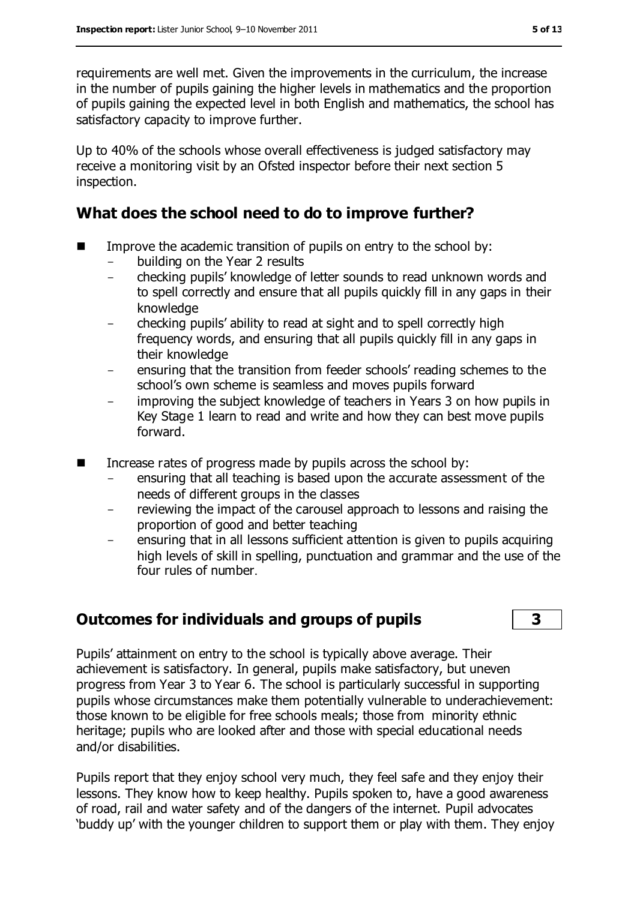requirements are well met. Given the improvements in the curriculum, the increase in the number of pupils gaining the higher levels in mathematics and the proportion of pupils gaining the expected level in both English and mathematics, the school has satisfactory capacity to improve further.

Up to 40% of the schools whose overall effectiveness is judged satisfactory may receive a monitoring visit by an Ofsted inspector before their next section 5 inspection.

#### **What does the school need to do to improve further?**

- $\blacksquare$  Improve the academic transition of pupils on entry to the school by:
	- building on the Year 2 results
	- checking pupils' knowledge of letter sounds to read unknown words and to spell correctly and ensure that all pupils quickly fill in any gaps in their knowledge
	- checking pupils' ability to read at sight and to spell correctly high frequency words, and ensuring that all pupils quickly fill in any gaps in their knowledge
	- ensuring that the transition from feeder schools' reading schemes to the school's own scheme is seamless and moves pupils forward
	- improving the subject knowledge of teachers in Years 3 on how pupils in Key Stage 1 learn to read and write and how they can best move pupils forward.
- $\blacksquare$  Increase rates of progress made by pupils across the school by:
	- ensuring that all teaching is based upon the accurate assessment of the needs of different groups in the classes
	- reviewing the impact of the carousel approach to lessons and raising the proportion of good and better teaching
	- ensuring that in all lessons sufficient attention is given to pupils acquiring high levels of skill in spelling, punctuation and grammar and the use of the four rules of number.

#### **Outcomes for individuals and groups of pupils 3**

Pupils' attainment on entry to the school is typically above average. Their achievement is satisfactory. In general, pupils make satisfactory, but uneven progress from Year 3 to Year 6. The school is particularly successful in supporting pupils whose circumstances make them potentially vulnerable to underachievement: those known to be eligible for free schools meals; those from minority ethnic heritage; pupils who are looked after and those with special educational needs and/or disabilities.

Pupils report that they enjoy school very much, they feel safe and they enjoy their lessons. They know how to keep healthy. Pupils spoken to, have a good awareness of road, rail and water safety and of the dangers of the internet. Pupil advocates 'buddy up' with the younger children to support them or play with them. They enjoy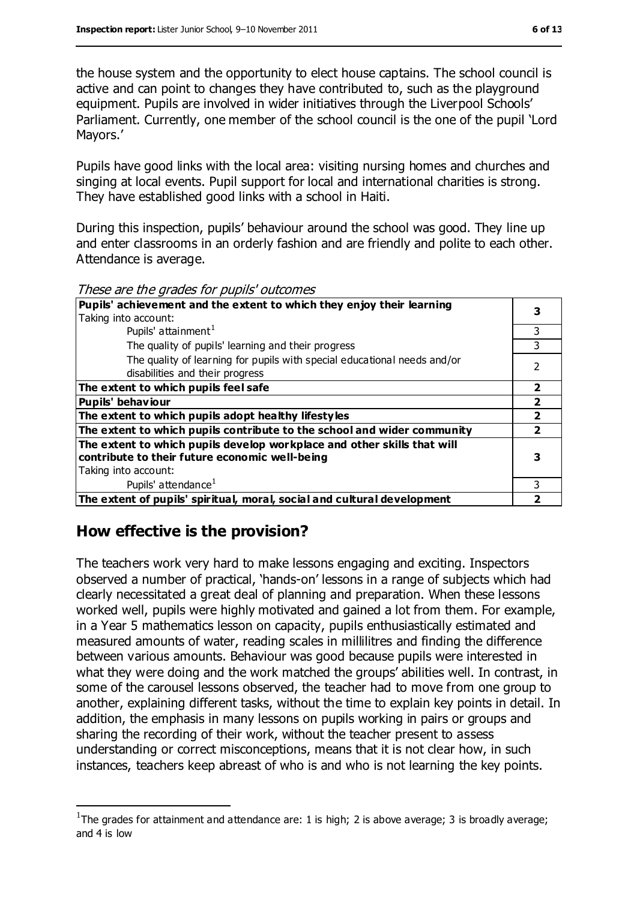the house system and the opportunity to elect house captains. The school council is active and can point to changes they have contributed to, such as the playground equipment. Pupils are involved in wider initiatives through the Liverpool Schools' Parliament. Currently, one member of the school council is the one of the pupil 'Lord Mayors.'

Pupils have good links with the local area: visiting nursing homes and churches and singing at local events. Pupil support for local and international charities is strong. They have established good links with a school in Haiti.

During this inspection, pupils' behaviour around the school was good. They line up and enter classrooms in an orderly fashion and are friendly and polite to each other. Attendance is average.

These are the grades for pupils' outcomes

| <i>ricoc di care grades for papilo outcomes</i>                                                                                                   |   |
|---------------------------------------------------------------------------------------------------------------------------------------------------|---|
| Pupils' achievement and the extent to which they enjoy their learning                                                                             |   |
| Taking into account:                                                                                                                              |   |
| Pupils' attainment <sup>1</sup>                                                                                                                   | ٦ |
| The quality of pupils' learning and their progress                                                                                                | 3 |
| The quality of learning for pupils with special educational needs and/or<br>disabilities and their progress                                       |   |
| The extent to which pupils feel safe                                                                                                              |   |
| <b>Pupils' behaviour</b>                                                                                                                          |   |
| The extent to which pupils adopt healthy lifestyles                                                                                               |   |
| The extent to which pupils contribute to the school and wider community                                                                           |   |
| The extent to which pupils develop workplace and other skills that will<br>contribute to their future economic well-being<br>Taking into account: |   |
| Pupils' attendance <sup>1</sup>                                                                                                                   | ٦ |
| The extent of pupils' spiritual, moral, social and cultural development                                                                           |   |
|                                                                                                                                                   |   |

#### **How effective is the provision?**

 $\overline{a}$ 

The teachers work very hard to make lessons engaging and exciting. Inspectors observed a number of practical, 'hands-on' lessons in a range of subjects which had clearly necessitated a great deal of planning and preparation. When these lessons worked well, pupils were highly motivated and gained a lot from them. For example, in a Year 5 mathematics lesson on capacity, pupils enthusiastically estimated and measured amounts of water, reading scales in millilitres and finding the difference between various amounts. Behaviour was good because pupils were interested in what they were doing and the work matched the groups' abilities well. In contrast, in some of the carousel lessons observed, the teacher had to move from one group to another, explaining different tasks, without the time to explain key points in detail. In addition, the emphasis in many lessons on pupils working in pairs or groups and sharing the recording of their work, without the teacher present to assess understanding or correct misconceptions, means that it is not clear how, in such instances, teachers keep abreast of who is and who is not learning the key points.

<sup>&</sup>lt;sup>1</sup>The grades for attainment and attendance are: 1 is high; 2 is above average; 3 is broadly average; and 4 is low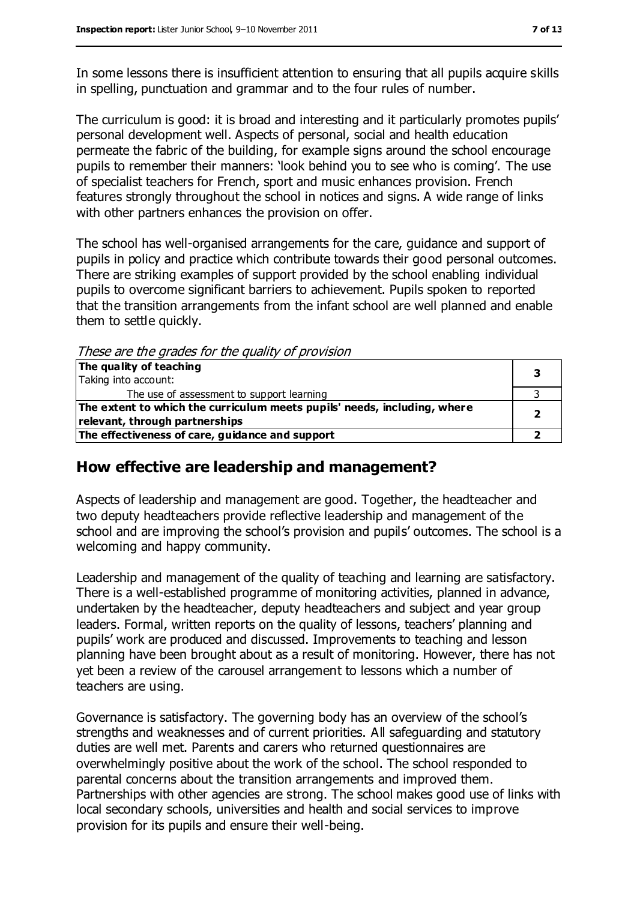In some lessons there is insufficient attention to ensuring that all pupils acquire skills in spelling, punctuation and grammar and to the four rules of number.

The curriculum is good: it is broad and interesting and it particularly promotes pupils' personal development well. Aspects of personal, social and health education permeate the fabric of the building, for example signs around the school encourage pupils to remember their manners: 'look behind you to see who is coming'. The use of specialist teachers for French, sport and music enhances provision. French features strongly throughout the school in notices and signs. A wide range of links with other partners enhances the provision on offer.

The school has well-organised arrangements for the care, guidance and support of pupils in policy and practice which contribute towards their good personal outcomes. There are striking examples of support provided by the school enabling individual pupils to overcome significant barriers to achievement. Pupils spoken to reported that the transition arrangements from the infant school are well planned and enable them to settle quickly.

These are the grades for the quality of provision

| The quality of teaching                                                  |  |  |
|--------------------------------------------------------------------------|--|--|
| Taking into account:                                                     |  |  |
| The use of assessment to support learning                                |  |  |
| The extent to which the curriculum meets pupils' needs, including, where |  |  |
| relevant, through partnerships                                           |  |  |
| The effectiveness of care, guidance and support                          |  |  |

#### **How effective are leadership and management?**

Aspects of leadership and management are good. Together, the headteacher and two deputy headteachers provide reflective leadership and management of the school and are improving the school's provision and pupils' outcomes. The school is a welcoming and happy community.

Leadership and management of the quality of teaching and learning are satisfactory. There is a well-established programme of monitoring activities, planned in advance, undertaken by the headteacher, deputy headteachers and subject and year group leaders. Formal, written reports on the quality of lessons, teachers' planning and pupils' work are produced and discussed. Improvements to teaching and lesson planning have been brought about as a result of monitoring. However, there has not yet been a review of the carousel arrangement to lessons which a number of teachers are using.

Governance is satisfactory. The governing body has an overview of the school's strengths and weaknesses and of current priorities. All safeguarding and statutory duties are well met. Parents and carers who returned questionnaires are overwhelmingly positive about the work of the school. The school responded to parental concerns about the transition arrangements and improved them. Partnerships with other agencies are strong. The school makes good use of links with local secondary schools, universities and health and social services to improve provision for its pupils and ensure their well-being.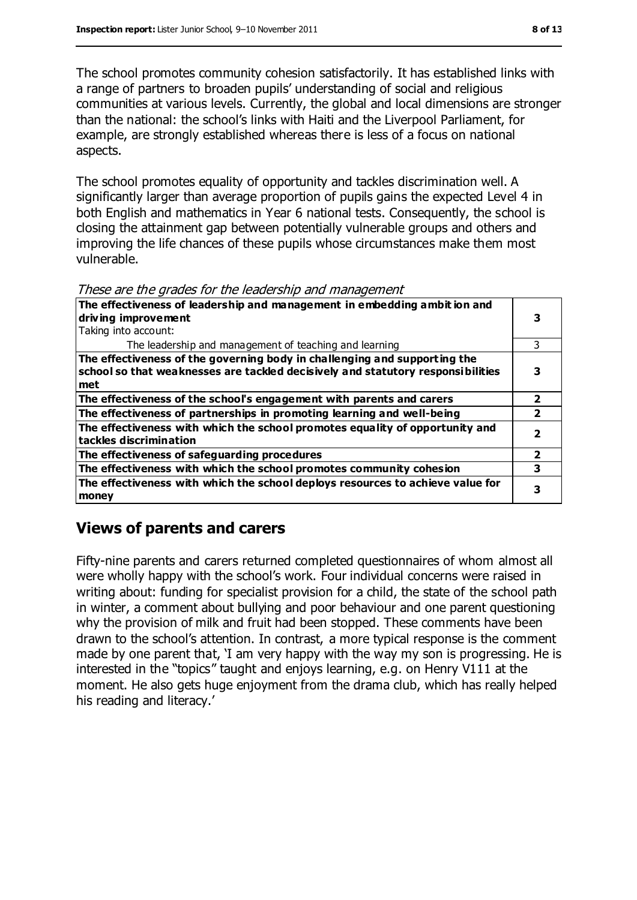The school promotes community cohesion satisfactorily. It has established links with a range of partners to broaden pupils' understanding of social and religious communities at various levels. Currently, the global and local dimensions are stronger than the national: the school's links with Haiti and the Liverpool Parliament, for example, are strongly established whereas there is less of a focus on national aspects.

The school promotes equality of opportunity and tackles discrimination well. A significantly larger than average proportion of pupils gains the expected Level 4 in both English and mathematics in Year 6 national tests. Consequently, the school is closing the attainment gap between potentially vulnerable groups and others and improving the life chances of these pupils whose circumstances make them most vulnerable.

These are the grades for the leadership and management

| The effectiveness of leadership and management in embedding ambit ion and<br>driving improvement       |   |  |
|--------------------------------------------------------------------------------------------------------|---|--|
|                                                                                                        |   |  |
| Taking into account:                                                                                   |   |  |
| The leadership and management of teaching and learning                                                 |   |  |
| The effectiveness of the governing body in challenging and supporting the                              |   |  |
| school so that weaknesses are tackled decisively and statutory responsibilities                        |   |  |
| met                                                                                                    |   |  |
| The effectiveness of the school's engagement with parents and carers                                   |   |  |
| The effectiveness of partnerships in promoting learning and well-being                                 |   |  |
| The effectiveness with which the school promotes equality of opportunity and<br>tackles discrimination |   |  |
| The effectiveness of safeguarding procedures                                                           | 2 |  |
| The effectiveness with which the school promotes community cohesion                                    |   |  |
| The effectiveness with which the school deploys resources to achieve value for<br>money                |   |  |

#### **Views of parents and carers**

Fifty-nine parents and carers returned completed questionnaires of whom almost all were wholly happy with the school's work. Four individual concerns were raised in writing about: funding for specialist provision for a child, the state of the school path in winter, a comment about bullying and poor behaviour and one parent questioning why the provision of milk and fruit had been stopped. These comments have been drawn to the school's attention. In contrast, a more typical response is the comment made by one parent that, 'I am very happy with the way my son is progressing. He is interested in the "topics" taught and enjoys learning, e.g. on Henry V111 at the moment. He also gets huge enjoyment from the drama club, which has really helped his reading and literacy.'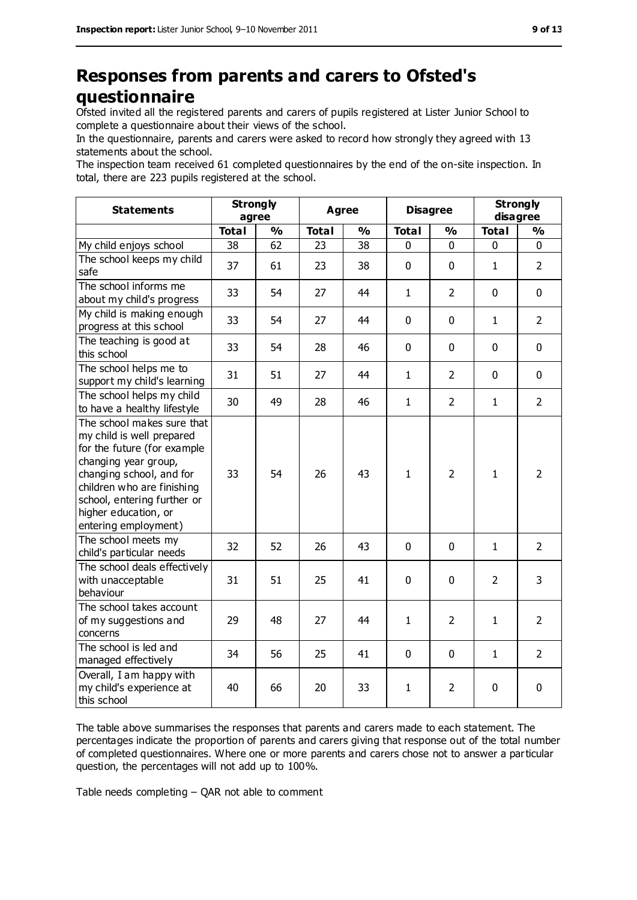### **Responses from parents and carers to Ofsted's questionnaire**

Ofsted invited all the registered parents and carers of pupils registered at Lister Junior School to complete a questionnaire about their views of the school.

In the questionnaire, parents and carers were asked to record how strongly they agreed with 13 statements about the school.

The inspection team received 61 completed questionnaires by the end of the on-site inspection. In total, there are 223 pupils registered at the school.

| <b>Statements</b>                                                                                                                                                                                                                                       | <b>Strongly</b><br>agree |               | <b>Agree</b> |    | <b>Disagree</b> |                | <b>Strongly</b><br>disagree |                |
|---------------------------------------------------------------------------------------------------------------------------------------------------------------------------------------------------------------------------------------------------------|--------------------------|---------------|--------------|----|-----------------|----------------|-----------------------------|----------------|
|                                                                                                                                                                                                                                                         | <b>Total</b>             | $\frac{0}{0}$ | <b>Total</b> | %  | <b>Total</b>    | $\frac{0}{0}$  | <b>Total</b>                | %              |
| My child enjoys school                                                                                                                                                                                                                                  | 38                       | 62            | 23           | 38 | 0               | 0              | 0                           | 0              |
| The school keeps my child<br>safe                                                                                                                                                                                                                       | 37                       | 61            | 23           | 38 | 0               | $\mathbf 0$    | $\mathbf{1}$                | $\overline{2}$ |
| The school informs me<br>about my child's progress                                                                                                                                                                                                      | 33                       | 54            | 27           | 44 | $\mathbf{1}$    | $\overline{2}$ | $\mathbf 0$                 | $\mathbf 0$    |
| My child is making enough<br>progress at this school                                                                                                                                                                                                    | 33                       | 54            | 27           | 44 | 0               | $\mathbf 0$    | $\mathbf{1}$                | $\overline{2}$ |
| The teaching is good at<br>this school                                                                                                                                                                                                                  | 33                       | 54            | 28           | 46 | 0               | $\mathbf 0$    | $\mathbf 0$                 | $\mathbf 0$    |
| The school helps me to<br>support my child's learning                                                                                                                                                                                                   | 31                       | 51            | 27           | 44 | $\mathbf{1}$    | $\overline{2}$ | $\mathbf 0$                 | $\mathbf 0$    |
| The school helps my child<br>to have a healthy lifestyle                                                                                                                                                                                                | 30                       | 49            | 28           | 46 | $\mathbf{1}$    | $\overline{2}$ | $\mathbf{1}$                | $\overline{2}$ |
| The school makes sure that<br>my child is well prepared<br>for the future (for example<br>changing year group,<br>changing school, and for<br>children who are finishing<br>school, entering further or<br>higher education, or<br>entering employment) | 33                       | 54            | 26           | 43 | $\mathbf{1}$    | $\overline{2}$ | $\mathbf{1}$                | $\overline{2}$ |
| The school meets my<br>child's particular needs                                                                                                                                                                                                         | 32                       | 52            | 26           | 43 | 0               | $\mathbf 0$    | $\mathbf{1}$                | $\overline{2}$ |
| The school deals effectively<br>with unacceptable<br>behaviour                                                                                                                                                                                          | 31                       | 51            | 25           | 41 | 0               | $\mathbf 0$    | $\overline{2}$              | 3              |
| The school takes account<br>of my suggestions and<br>concerns                                                                                                                                                                                           | 29                       | 48            | 27           | 44 | $\mathbf{1}$    | $\overline{2}$ | $\mathbf{1}$                | $\overline{2}$ |
| The school is led and<br>managed effectively                                                                                                                                                                                                            | 34                       | 56            | 25           | 41 | 0               | $\mathbf 0$    | $\mathbf{1}$                | $\overline{2}$ |
| Overall, I am happy with<br>my child's experience at<br>this school                                                                                                                                                                                     | 40                       | 66            | 20           | 33 | $\mathbf{1}$    | $\overline{2}$ | 0                           | $\mathbf 0$    |

The table above summarises the responses that parents and carers made to each statement. The percentages indicate the proportion of parents and carers giving that response out of the total number of completed questionnaires. Where one or more parents and carers chose not to answer a particular question, the percentages will not add up to 100%.

Table needs completing – QAR not able to comment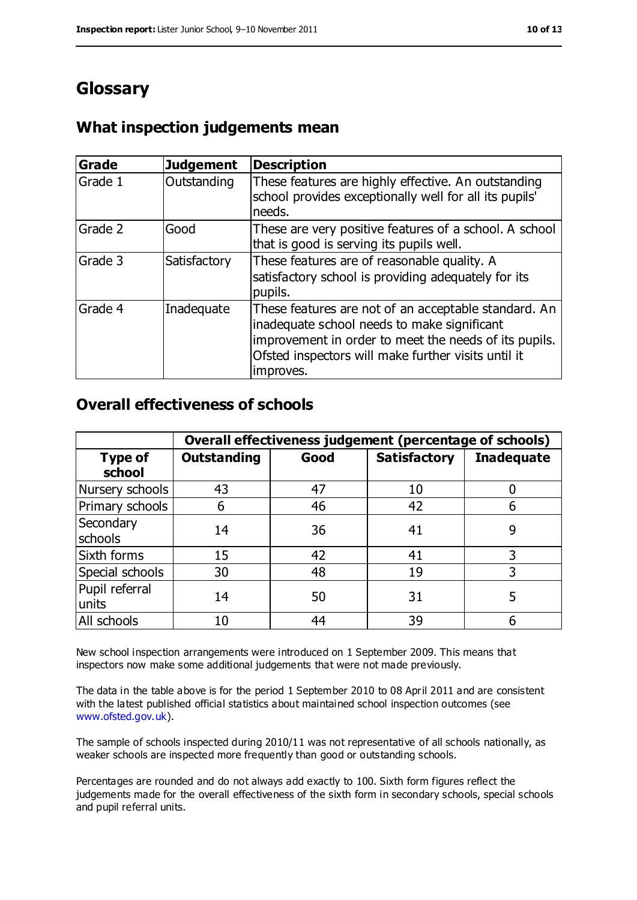### **Glossary**

#### **What inspection judgements mean**

| <b>Grade</b> | <b>Judgement</b> | <b>Description</b>                                                                                                                                                                                                               |
|--------------|------------------|----------------------------------------------------------------------------------------------------------------------------------------------------------------------------------------------------------------------------------|
| Grade 1      | Outstanding      | These features are highly effective. An outstanding<br>school provides exceptionally well for all its pupils'<br>needs.                                                                                                          |
| Grade 2      | Good             | These are very positive features of a school. A school<br>that is good is serving its pupils well.                                                                                                                               |
| Grade 3      | Satisfactory     | These features are of reasonable quality. A<br>satisfactory school is providing adequately for its<br>pupils.                                                                                                                    |
| Grade 4      | Inadequate       | These features are not of an acceptable standard. An<br>inadequate school needs to make significant<br>improvement in order to meet the needs of its pupils.<br>Ofsted inspectors will make further visits until it<br>improves. |

#### **Overall effectiveness of schools**

|                          | Overall effectiveness judgement (percentage of schools) |      |                     |                   |
|--------------------------|---------------------------------------------------------|------|---------------------|-------------------|
| <b>Type of</b><br>school | <b>Outstanding</b>                                      | Good | <b>Satisfactory</b> | <b>Inadequate</b> |
| Nursery schools          | 43                                                      | 47   | 10                  |                   |
| Primary schools          | 6                                                       | 46   | 42                  |                   |
| Secondary<br>schools     | 14                                                      | 36   | 41                  | 9                 |
| Sixth forms              | 15                                                      | 42   | 41                  | 3                 |
| Special schools          | 30                                                      | 48   | 19                  | 3                 |
| Pupil referral<br>units  | 14                                                      | 50   | 31                  | 5                 |
| All schools              | 10                                                      | 44   | 39                  |                   |

New school inspection arrangements were introduced on 1 September 2009. This means that inspectors now make some additional judgements that were not made previously.

The data in the table above is for the period 1 September 2010 to 08 April 2011 and are consistent with the latest published official statistics about maintained school inspection outcomes (see [www.ofsted.gov.uk\)](http://www.ofsted.gov.uk/).

The sample of schools inspected during 2010/11 was not representative of all schools nationally, as weaker schools are inspected more frequently than good or outstanding schools.

Percentages are rounded and do not always add exactly to 100. Sixth form figures reflect the judgements made for the overall effectiveness of the sixth form in secondary schools, special schools and pupil referral units.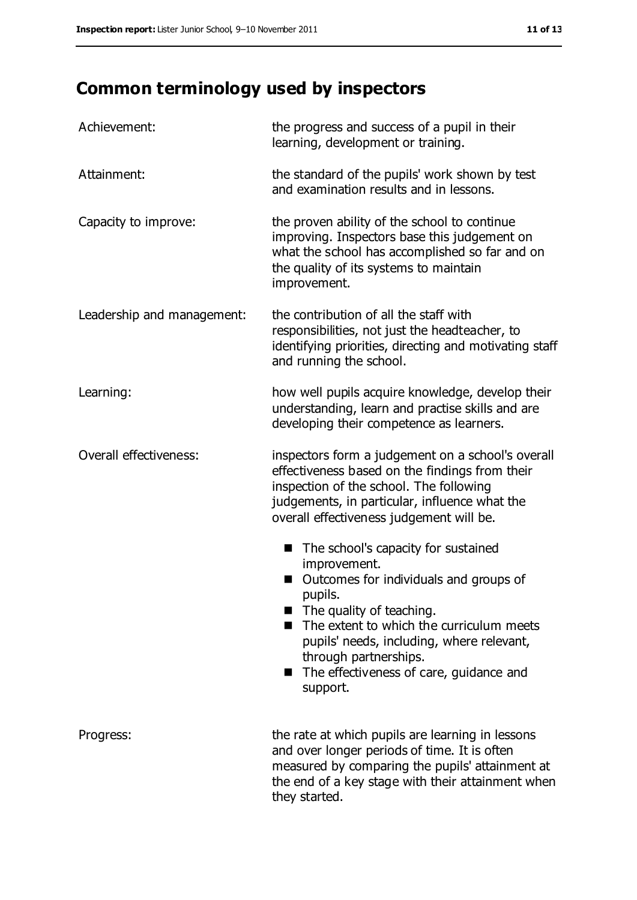# **Common terminology used by inspectors**

| Achievement:               | the progress and success of a pupil in their<br>learning, development or training.                                                                                                                                                                                                                                                        |
|----------------------------|-------------------------------------------------------------------------------------------------------------------------------------------------------------------------------------------------------------------------------------------------------------------------------------------------------------------------------------------|
| Attainment:                | the standard of the pupils' work shown by test<br>and examination results and in lessons.                                                                                                                                                                                                                                                 |
| Capacity to improve:       | the proven ability of the school to continue<br>improving. Inspectors base this judgement on<br>what the school has accomplished so far and on<br>the quality of its systems to maintain<br>improvement.                                                                                                                                  |
| Leadership and management: | the contribution of all the staff with<br>responsibilities, not just the headteacher, to<br>identifying priorities, directing and motivating staff<br>and running the school.                                                                                                                                                             |
| Learning:                  | how well pupils acquire knowledge, develop their<br>understanding, learn and practise skills and are<br>developing their competence as learners.                                                                                                                                                                                          |
| Overall effectiveness:     | inspectors form a judgement on a school's overall<br>effectiveness based on the findings from their<br>inspection of the school. The following<br>judgements, in particular, influence what the<br>overall effectiveness judgement will be.                                                                                               |
|                            | The school's capacity for sustained<br>H<br>improvement.<br>Outcomes for individuals and groups of<br>pupils.<br>The quality of teaching.<br>$\blacksquare$<br>The extent to which the curriculum meets<br>pupils' needs, including, where relevant,<br>through partnerships.<br>The effectiveness of care, guidance and<br>■<br>support. |
| Progress:                  | the rate at which pupils are learning in lessons<br>and over longer periods of time. It is often<br>measured by comparing the pupils' attainment at<br>the end of a key stage with their attainment when<br>they started.                                                                                                                 |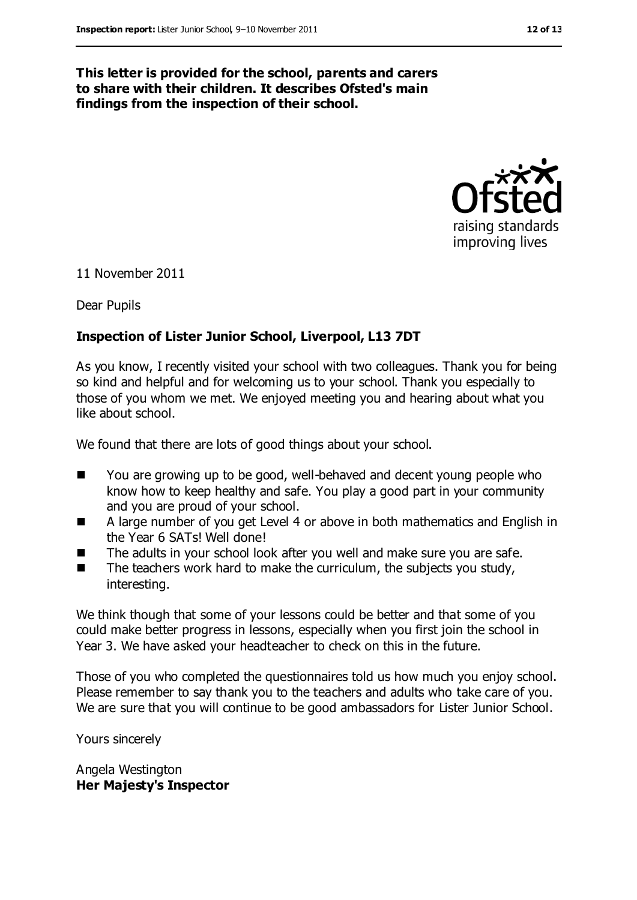#### **This letter is provided for the school, parents and carers to share with their children. It describes Ofsted's main findings from the inspection of their school.**



11 November 2011

Dear Pupils

#### **Inspection of Lister Junior School, Liverpool, L13 7DT**

As you know, I recently visited your school with two colleagues. Thank you for being so kind and helpful and for welcoming us to your school. Thank you especially to those of you whom we met. We enjoyed meeting you and hearing about what you like about school.

We found that there are lots of good things about your school.

- You are growing up to be good, well-behaved and decent young people who know how to keep healthy and safe. You play a good part in your community and you are proud of your school.
- A large number of you get Level 4 or above in both mathematics and English in the Year 6 SATs! Well done!
- The adults in your school look after you well and make sure you are safe.
- $\blacksquare$  The teachers work hard to make the curriculum, the subjects you study, interesting.

We think though that some of your lessons could be better and that some of you could make better progress in lessons, especially when you first join the school in Year 3. We have asked your headteacher to check on this in the future.

Those of you who completed the questionnaires told us how much you enjoy school. Please remember to say thank you to the teachers and adults who take care of you. We are sure that you will continue to be good ambassadors for Lister Junior School.

Yours sincerely

Angela Westington **Her Majesty's Inspector**